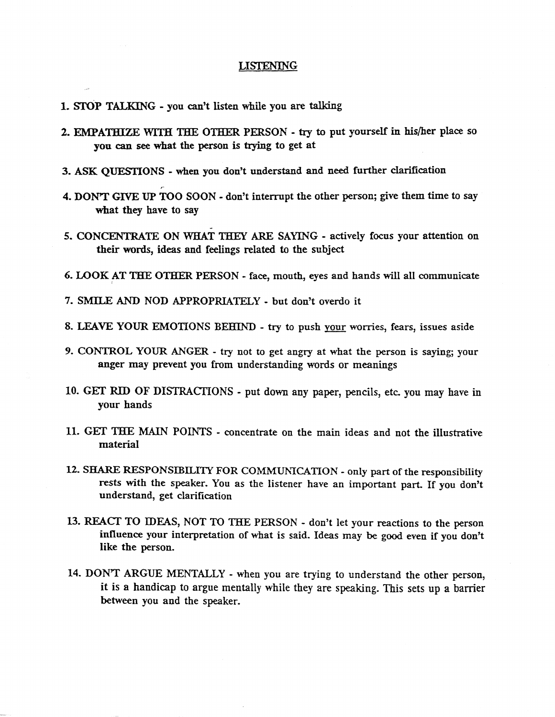## LISTENING

- 1. STOP TALKING you can't listen while you are talking
- 2. EMPATHIZE WITH THE OTHER PERSON try to put yourself in his/her place so you can see what the person is trying to get at
- 3. ASK QUESTIONS when you don't understand and need further clarification
- 4. DON'T GIVE UP TOO SOON don't interrupt the other person; give them time to say what they have to say
- *5.* CONCENTRATE ON WHAT THEY ARE SAYING actively focus your attention on their words, ideas and feelings related to the subject
- 6. LOOK AT THE OTHER PERSON *-* face, mouth, eyes and hands will all communicate
- 7. SMILE AND NOD APPROPRIATELY but don't overdo it
- 8. LEAVE YOUR EMOTIONS BEHIND try to push your worries, fears, issues aside
- **9. CONTROL YOUR ANGER** try not **to** get angry at what the person is saying; your anger may prevent you from understanding words or meanings
- 10. GET RID OF DISTRACTIONS put down any paper, pencils, etc you may have in your hands
- 11. GET THE MAIN POINTS concentrate on the main ideas and not the illustrative material
- 12. SHARE RESPONSIBILITY FOR COMMUNICATION only part of the responsibility rests with the speaker. You as the listener have an important part. If you don't understand, get clarification
- 13. REACT TO IDEAS, NOT TO THE PERSON don't let your reactions to the person influence your interpretation of what is said. Ideas may be good even if you don't like the person.
- 14. DONT ARGUE MENTALLY when you are trying to understand the other person, it is a handicap to argue mentally while they are speaking. This sets up a barrier between you and the speaker.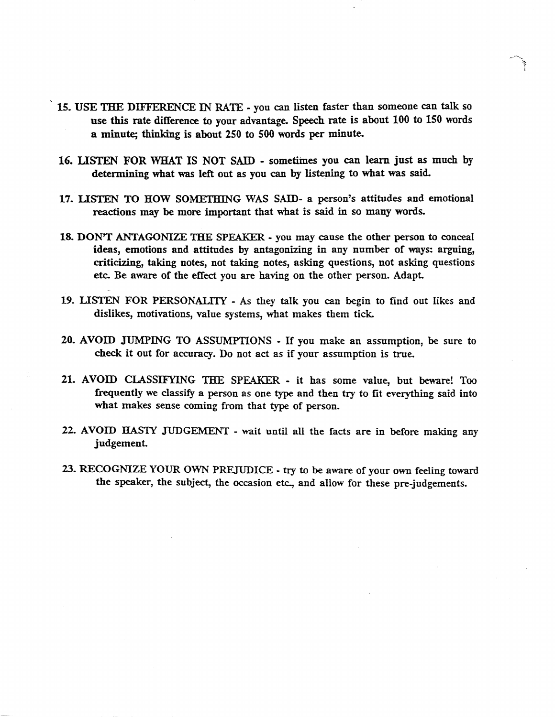- 15. USE THE DIFFERENCE IN RATE you can listen faster than someone can talk so use this rate difference to your advantage. Speech rate is about 100 to 150 words a minute; thinking is about 250 to 500 words per minute.
- 16. LISTEN FOR WHAT IS NOT SAID sometimes you can learn just as much by determining what was left out as you can by listening to what was said.
- 17. LISTEN TO HOW SOMETHING WAS SAID- a person's attitudes and emotional reactions may be more important that what is said in so many words.
- 18. DONT ANTAGONIZE THE SPEAKER you may cause the other person to conceal ideas, emotions and attitudes by antagonizing in any number of ways: arguing, criticizing, taking notes, not taking notes, asking questions, not asking questions etc. Be aware of the effect you are having on the other person. Adapt
- 19. LISTEN FOR PERSONALITY As they talk you can begin to find out likes and dislikes, motivations, value systems, what makes them tick.
- 20. AVOID JUMPING TO ASSUMPTIONS If you make an assumption, be sure to check it out for accuracy. Do not act as if your assumption is true.
- 21. AVOID CLASSIFYING THE SPEAKER it has some value, but beware! Too frequently we classify a person as one type and then try to fit everything said into what makes sense coming from that type of person.
- 22. AVOID HASTY JUDGEMENT wait until ail the facts are in before making any judgement
- 23. RECOGNIZE YOUR OWN PREJUDICE try to be aware of your own feeling toward the speaker, the subject, the occasion etc., and allow for these pre-judgements.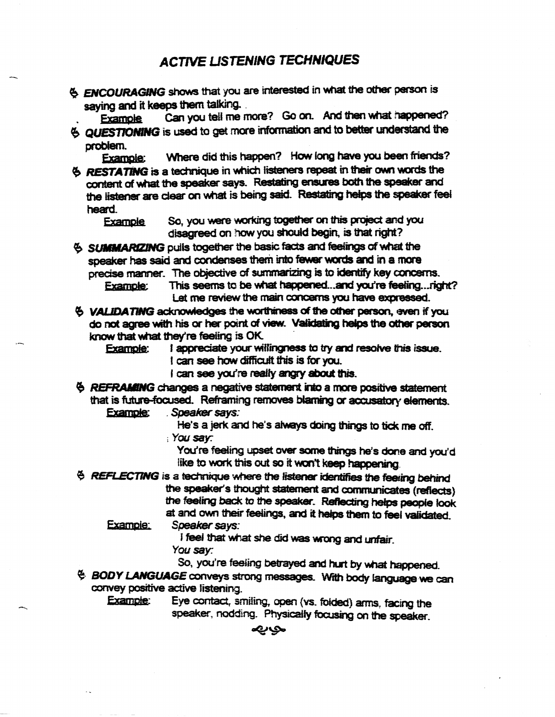## **ACTIVE LISTENING TECHNIQUES**

**ENCOURAGING** shows that you are interested in what the other person is saying and it keeps them talking.

Example Can you tell me more? Go on. And then what happened? **QUESTIONING** is used to get more information and to better understand the

problem.

Example: Where did this happen? How long have you been friends?

RESTATING is a technique in which listeners repeat in their own words the content of what Ihe speaker says. Restating ensures both the speaker and the listener are clear on what is being said. Restating helps the speaker feel heard.

Example So, you were working together on this project and you disagreed on how you should begin, is that right?

**6 SUMMARIZING** pulls together the basic facts and feelings of what the speaker has said and condenses them into fewer words and in a more precise manner. The objective of summarising is to identify key concerns.

Example: This seems to be what happened...and you're feeling...right? Lst me review the main concerns you have expressed.

 $6$  VALIDATING acknowledges the worthiness of the other person, even if you do not agree with his or her point of view. Validating helps the other person. know that what they're feeling is OK

w that what they re reeling is UK.<br>Example: I appreciate your willingness to try and resolve this issue. I appreciate your willingness to try an<br>I can see how difficult this is for you.

- i can see you're really angry about this.
- $\ddot{\theta}$  **REFRAMING** changes a negative statement into a more positive statement that is future-focused. Reframing removes blaming or accusatory elements.

Example: Speaker says:

He's a jerk and he's always doing things to tick me off. ; Yet/say:

You're feeling upset over some things he's done and you'd like to work this out so it won't keep happening.

 $6$  REFLECTING is a technique where the listener identifies the feeling behind the speaker's thought statement and communicates (reflects) the feeing back to the speaker. Reflecting helps people look at and own their feelings, and it helps them to feel validated.

Example: Speaker says:

f fieel that what she did was wrong and unfair.

you say.

So, you're feeling betrayed and hurt by what happened.

 $4$  BODY LANGUAGE conveys strong messages. With body language we can convey positive active listening.

Example: Eye contact, smiiing, open (vs. folded) arms, facing the speaker, nodding. Physically focusing on the speaker.

**DUS**